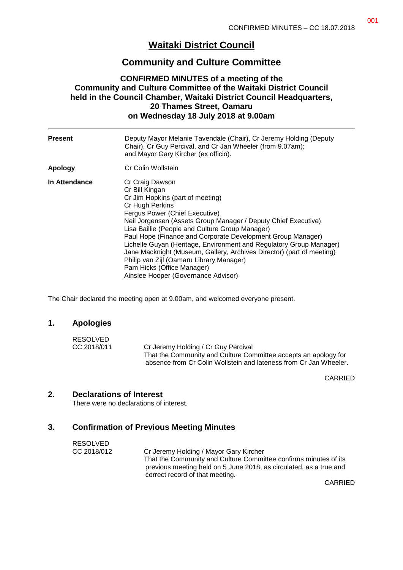# **Waitaki District Council**

## **Community and Culture Committee**

#### **CONFIRMED MINUTES of a meeting of the Community and Culture Committee of the Waitaki District Council held in the Council Chamber, Waitaki District Council Headquarters, 20 Thames Street, Oamaru on Wednesday 18 July 2018 at 9.00am**

| <b>Present</b> | Deputy Mayor Melanie Tavendale (Chair), Cr Jeremy Holding (Deputy<br>Chair), Cr Guy Percival, and Cr Jan Wheeler (from 9.07am);<br>and Mayor Gary Kircher (ex officio).                                                                                                                                                                                                                                                                                                                                                                                                         |
|----------------|---------------------------------------------------------------------------------------------------------------------------------------------------------------------------------------------------------------------------------------------------------------------------------------------------------------------------------------------------------------------------------------------------------------------------------------------------------------------------------------------------------------------------------------------------------------------------------|
| Apology        | Cr Colin Wollstein                                                                                                                                                                                                                                                                                                                                                                                                                                                                                                                                                              |
| In Attendance  | Cr Craig Dawson<br>Cr Bill Kingan<br>Cr Jim Hopkins (part of meeting)<br>Cr Hugh Perkins<br>Fergus Power (Chief Executive)<br>Neil Jorgensen (Assets Group Manager / Deputy Chief Executive)<br>Lisa Baillie (People and Culture Group Manager)<br>Paul Hope (Finance and Corporate Development Group Manager)<br>Lichelle Guyan (Heritage, Environment and Regulatory Group Manager)<br>Jane Macknight (Museum, Gallery, Archives Director) (part of meeting)<br>Philip van Zijl (Oamaru Library Manager)<br>Pam Hicks (Office Manager)<br>Ainslee Hooper (Governance Advisor) |

The Chair declared the meeting open at 9.00am, and welcomed everyone present.

#### **1. Apologies**

| RESOLVED    |                                                                   |
|-------------|-------------------------------------------------------------------|
| CC 2018/011 | Cr Jeremy Holding / Cr Guy Percival                               |
|             | That the Community and Culture Committee accepts an apology for   |
|             | absence from Cr Colin Wollstein and lateness from Cr Jan Wheeler. |

CARRIED

#### **2. Declarations of Interest**

There were no declarations of interest.

#### **3. Confirmation of Previous Meeting Minutes**

| <b>RESOLVED</b> |                                                                    |
|-----------------|--------------------------------------------------------------------|
| CC 2018/012     | Cr Jeremy Holding / Mayor Gary Kircher                             |
|                 | That the Community and Culture Committee confirms minutes of its   |
|                 | previous meeting held on 5 June 2018, as circulated, as a true and |
|                 | correct record of that meeting.                                    |

CARRIED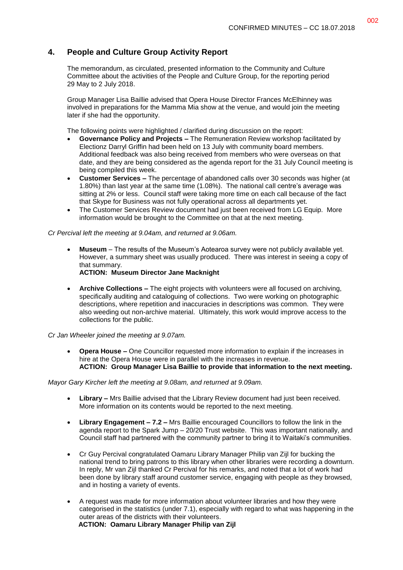### **4. People and Culture Group Activity Report**

The memorandum, as circulated, presented information to the Community and Culture Committee about the activities of the People and Culture Group, for the reporting period 29 May to 2 July 2018.

Group Manager Lisa Baillie advised that Opera House Director Frances McElhinney was involved in preparations for the Mamma Mia show at the venue, and would join the meeting later if she had the opportunity.

The following points were highlighted / clarified during discussion on the report:

- **Governance Policy and Projects –** The Remuneration Review workshop facilitated by Electionz Darryl Griffin had been held on 13 July with community board members. Additional feedback was also being received from members who were overseas on that date, and they are being considered as the agenda report for the 31 July Council meeting is being compiled this week.
- **Customer Services –** The percentage of abandoned calls over 30 seconds was higher (at 1.80%) than last year at the same time (1.08%). The national call centre's average was sitting at 2% or less. Council staff were taking more time on each call because of the fact that Skype for Business was not fully operational across all departments yet.
- The Customer Services Review document had just been received from LG Equip. More information would be brought to the Committee on that at the next meeting.

*Cr Percival left the meeting at 9.04am, and returned at 9.06am.*

 **Museum** – The results of the Museum's Aotearoa survey were not publicly available yet. However, a summary sheet was usually produced. There was interest in seeing a copy of that summary.

**ACTION: Museum Director Jane Macknight**

 **Archive Collections –** The eight projects with volunteers were all focused on archiving, specifically auditing and cataloguing of collections. Two were working on photographic descriptions, where repetition and inaccuracies in descriptions was common. They were also weeding out non-archive material. Ultimately, this work would improve access to the collections for the public.

*Cr Jan Wheeler joined the meeting at 9.07am.*

 **Opera House –** One Councillor requested more information to explain if the increases in hire at the Opera House were in parallel with the increases in revenue. **ACTION: Group Manager Lisa Baillie to provide that information to the next meeting.**

*Mayor Gary Kircher left the meeting at 9.08am, and returned at 9.09am.*

- **Library –** Mrs Baillie advised that the Library Review document had just been received. More information on its contents would be reported to the next meeting.
- **Library Engagement – 7.2 –** Mrs Baillie encouraged Councillors to follow the link in the agenda report to the Spark Jump – 20/20 Trust website. This was important nationally, and Council staff had partnered with the community partner to bring it to Waitaki's communities.
- Cr Guy Percival congratulated Oamaru Library Manager Philip van Zijl for bucking the national trend to bring patrons to this library when other libraries were recording a downturn. In reply, Mr van Zijl thanked Cr Percival for his remarks, and noted that a lot of work had been done by library staff around customer service, engaging with people as they browsed, and in hosting a variety of events.
- A request was made for more information about volunteer libraries and how they were categorised in the statistics (under 7.1), especially with regard to what was happening in the outer areas of the districts with their volunteers. **ACTION: Oamaru Library Manager Philip van Zijl**